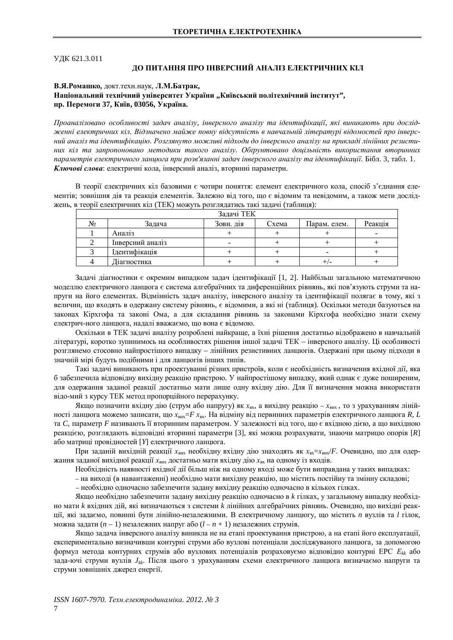ɍȾɄ 621.3.011

## ДО ПИТАННЯ ПРО ІНВЕРСНИЙ АНАЛІЗ ЕЛЕКТРИЧНИХ КІЛ

#### В.Я. Ромашко, докт. техн. наук, Л.М. Батрак,

## Національний технічний університет України "Київський політехнічний інститут", **пр. Перемоги 37, Київ, 03056, Україна.**

*ɉɪɨɚɧɚɥɿɡɨɜɚɧɨ ɨɫɨɛɥɢɜɨɫɬɿ ɡɚɞɚɱ ɚɧɚɥɿɡɭ, ɿɧɜɟɪɫɧɨɝɨ ɚɧɚɥɿɡɭ ɬɚ ɿɞɟɧɬɢɮɿɤɚɰɿʀ, ɹɤɿ ɜɢɧɢɤɚɸɬɶ ɩɪɢ ɞɨɫɥɿɞ* $x$  $x$ еенні електричних кіл. Відзначено майже повну відсутність в навчальній літературі відомостей про інверсний аналіз та ідентифікацію. Розглянуто можливі підходи до інверсного аналізу на прикладі лінійних резистиних кіл та запропоновано методики такого аналізу. Обґрунтовано доцільність використання вторинних лараметрів електричного ланцюга при розв'язанні задач інверсного аналізу та ідентифікації. Бібл. 3, табл. 1. Ключові слова: електричні кола, інверсний аналіз, вторинні параметри.

В теорії електричних кіл базовими є чотири поняття: елемент електричного кола, спосіб з'єднання елементів; зовнішня дія та реакція елементів. Залежно від того, що є відомим та невідомим, а також мети досліджень, в теорії електричних кіл (ТЕК) можуть розглядатись такі задачі (таблиця):

| Задачі ТЕК |                  |           |       |              |         |
|------------|------------------|-----------|-------|--------------|---------|
| Nº.        | Задача           | Зовн. дія | Схема | Парам. елем. | Реакція |
|            | Аналіз           |           |       |              |         |
|            | Інверсний аналіз |           |       |              |         |
|            | Ідентифікація    |           |       | -            |         |
|            | Діагностика      |           |       |              |         |

Задачі діагностики є окремим випадком задач ідентифікації [1, 2]. Найбільш загальною математичною моделлю електричного ланцюга є система алгебраїчних та диференційних рівнянь, які пов'язують струми та напруги на його елементах. Відмінність задач аналізу, інверсного аналізу та ідентифікації полягає в тому, які з величин, що входять в одержану систему рівнянь, є відомими, а які ні (таблиця). Оскільки методи базуються на законах Кірхгофа та законі Ома, а для складання рівнянь за законами Кірхгофа необхідно знати схему електрич-ного ланцюга, надалі вважаємо, що вона є відомою.

Оскільки в ТЕК задачі аналізу розроблені найкраще, а їхні рішення достатньо відображено в навчальній літературі, коротко зупинимось на особливостях рішення іншої задачі ТЕК – інверсного аналізу. Ці особливості розглянемо стосовно найпростішого випадку – лінійних резистивних ланцюгів. Одержані при цьому підходи в значній мірі будуть подібними і для ланцюгів інших типів.

Такі задачі виникають при проектуванні різних пристроїв, коли є необхідність визначення вхідної дії, яка б забезпечила відповідну вихідну реакцію пристрою. У найпростішому випадку, який однак є дуже поширеним, для одержання заданої реакції достатньо мати лише одну вхідну дію. Для її визначення можна використати відо-мий з курсу ТЕК метод пропорційного перерахунку.

Якщо позначити вхідну дію (струм або напругу) як *х*<sub>вх</sub>, а вихідну реакцію – *х*<sub>вих</sub>, то з урахуванням лінійності ланцюга можемо записати, що  $x_{\text{BHX}} = F x_{\text{ax}}$ . На відміну від первинних параметрів електричного ланцюга R, L та *С*, параметр *F* називають її вторинним параметром. У залежності від того, що є вхідною дією, а що вихідною реакцією, розглядають відповідні вторинні параметри [3], які можна розрахувати, знаючи матрицю опорів [R] або матриці провідностей [Y] електричного ланцюга.

При заданій вихідній реакції х<sub>вих</sub> необхідну вхідну дію знаходять як х<sub>вх</sub>=х<sub>вих</sub>/F. Очевидно, що для одержання заданої вихідної реакції х<sub>вих</sub> достатньо мати вхідну дію х<sub>вх</sub> на одному із входів.

Необхідність наявності вхідної дії більш ніж на одному вході може бути виправдана у таких випадках:

– на виході (в навантаженні) необхідно мати вихідну реакцію, що містить постійну та змінну складові;

- необхідно одночасно забезпечити задану вихідну реакцію одночасно в кількох гілках.

Якщо необхідно забезпечити задану вихідну реакцію одночасно в *к* гілках, у загальному випадку необхідно мати *k* вхідних дій, які визначаються з системи *k* лінійних алгебраїчних рівнянь. Очевидно, що вихідні реакції, які задаємо, повинні бути лінійно-незалежними. В електричному ланцюгу, що містить *п* вузлів та l гілок, можна задати (*n* – 1) незалежних напруг або (*l* – *n* + 1) незалежних струмів.

Якщо задача інверсного аналізу виникла не на етапі проектування пристрою, а на етапі його експлуатації, експериментально визначивши контурні струми або вузлові потенціали досліджуваного ланцюга, за допомогою формул метода контурних струмів або вузлових потенціалів розраховуємо відповідно контурні ЕРС  $E_{kk}$  або зада-ючі струми вузлів *J<sub>kk</sub>*. Після цього з урахуванням схеми електричного ланцюга визначаємо напруги та струми зовнішніх джерел енергії.